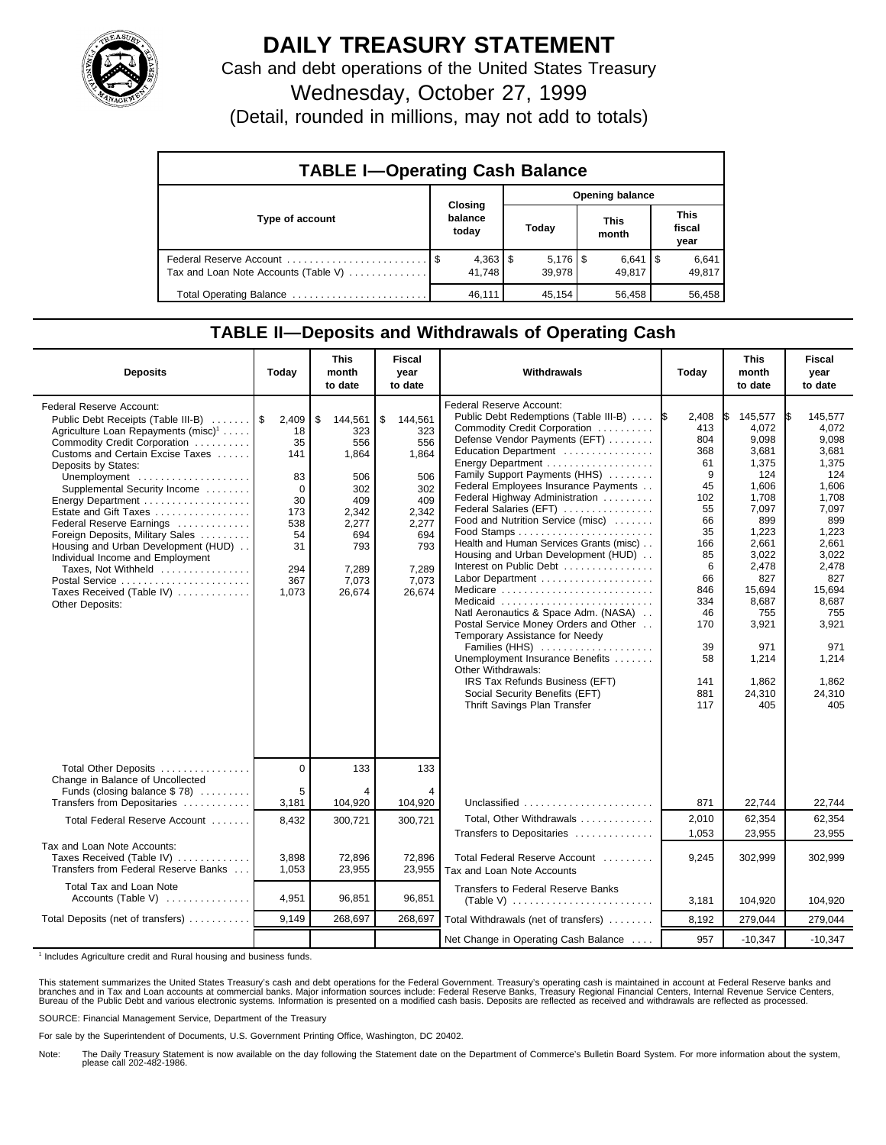

## **DAILY TREASURY STATEMENT**

Cash and debt operations of the United States Treasury

Wednesday, October 27, 1999

(Detail, rounded in millions, may not add to totals)

| <b>TABLE I-Operating Cash Balance</b> |  |                             |                        |                              |  |                      |  |                               |  |
|---------------------------------------|--|-----------------------------|------------------------|------------------------------|--|----------------------|--|-------------------------------|--|
|                                       |  |                             | <b>Opening balance</b> |                              |  |                      |  |                               |  |
| Type of account                       |  | Closing<br>balance<br>today |                        | Today                        |  | <b>This</b><br>month |  | <b>This</b><br>fiscal<br>year |  |
| Tax and Loan Note Accounts (Table V)  |  | $4,363$   \$<br>41.748      |                        | $5,176$ $\sqrt{3}$<br>39.978 |  | $6,641$ S<br>49.817  |  | 6,641<br>49,817               |  |
| Total Operating Balance               |  | 46.111                      |                        | 45.154                       |  | 56,458               |  | 56,458                        |  |

## **TABLE II—Deposits and Withdrawals of Operating Cash**

| <b>Deposits</b>                                                                                                                                                                                                                                                                                                                                                                                                                                                                                                                                | Today                                                                                             | <b>This</b><br>month<br>to date                                                                                       | <b>Fiscal</b><br>year<br>to date                                                                                      | Withdrawals                                                                                                                                                                                                                                                                                                                                                                                                                                                                                                                                                                                                                                                                                                                                                                 | Today                                                                                                                                                           | <b>This</b><br>month<br>to date                                                                                                                                                                              | <b>Fiscal</b><br>year<br>to date                                                                                                                                                                             |
|------------------------------------------------------------------------------------------------------------------------------------------------------------------------------------------------------------------------------------------------------------------------------------------------------------------------------------------------------------------------------------------------------------------------------------------------------------------------------------------------------------------------------------------------|---------------------------------------------------------------------------------------------------|-----------------------------------------------------------------------------------------------------------------------|-----------------------------------------------------------------------------------------------------------------------|-----------------------------------------------------------------------------------------------------------------------------------------------------------------------------------------------------------------------------------------------------------------------------------------------------------------------------------------------------------------------------------------------------------------------------------------------------------------------------------------------------------------------------------------------------------------------------------------------------------------------------------------------------------------------------------------------------------------------------------------------------------------------------|-----------------------------------------------------------------------------------------------------------------------------------------------------------------|--------------------------------------------------------------------------------------------------------------------------------------------------------------------------------------------------------------|--------------------------------------------------------------------------------------------------------------------------------------------------------------------------------------------------------------|
| Federal Reserve Account:<br>Public Debt Receipts (Table III-B)<br>Agriculture Loan Repayments (misc) <sup>1</sup><br>Commodity Credit Corporation<br>Customs and Certain Excise Taxes<br>Deposits by States:<br>Unemployment<br>Supplemental Security Income<br>Energy Department<br>Estate and Gift Taxes<br>Federal Reserve Earnings<br>Foreign Deposits, Military Sales<br>Housing and Urban Development (HUD)<br>Individual Income and Employment<br>Taxes, Not Withheld<br>Postal Service<br>Taxes Received (Table IV)<br>Other Deposits: | 2,409<br>18<br>35<br>141<br>83<br>$\Omega$<br>30<br>173<br>538<br>54<br>31<br>294<br>367<br>1.073 | \$<br>144,561<br>323<br>556<br>1,864<br>506<br>302<br>409<br>2,342<br>2,277<br>694<br>793<br>7.289<br>7,073<br>26,674 | \$<br>144,561<br>323<br>556<br>1,864<br>506<br>302<br>409<br>2,342<br>2,277<br>694<br>793<br>7.289<br>7,073<br>26.674 | Federal Reserve Account:<br>Public Debt Redemptions (Table III-B)<br>Commodity Credit Corporation<br>Defense Vendor Payments (EFT)<br>Education Department<br>Family Support Payments (HHS)<br>Federal Employees Insurance Payments<br>Federal Highway Administration<br>Federal Salaries (EFT)<br>Food and Nutrition Service (misc)<br>Health and Human Services Grants (misc)<br>Housing and Urban Development (HUD)<br>Interest on Public Debt<br>Medicare<br>Medicaid<br>Natl Aeronautics & Space Adm. (NASA)<br>Postal Service Money Orders and Other<br>Temporary Assistance for Needy<br>Families (HHS)<br>Unemployment Insurance Benefits<br>Other Withdrawals:<br>IRS Tax Refunds Business (EFT)<br>Social Security Benefits (EFT)<br>Thrift Savings Plan Transfer | 2,408<br>I\$<br>413<br>804<br>368<br>61<br>9<br>45<br>102<br>55<br>66<br>35<br>166<br>85<br>6<br>66<br>846<br>334<br>46<br>170<br>39<br>58<br>141<br>881<br>117 | 145,577<br>4,072<br>9,098<br>3,681<br>1,375<br>124<br>1,606<br>1.708<br>7,097<br>899<br>1,223<br>2,661<br>3,022<br>2,478<br>827<br>15,694<br>8.687<br>755<br>3,921<br>971<br>1,214<br>1,862<br>24,310<br>405 | 145,577<br>4.072<br>9,098<br>3,681<br>1,375<br>124<br>1.606<br>1.708<br>7,097<br>899<br>1,223<br>2,661<br>3.022<br>2,478<br>827<br>15,694<br>8.687<br>755<br>3,921<br>971<br>1,214<br>1,862<br>24,310<br>405 |
| Total Other Deposits<br>Change in Balance of Uncollected                                                                                                                                                                                                                                                                                                                                                                                                                                                                                       | $\overline{0}$                                                                                    | 133                                                                                                                   | 133                                                                                                                   |                                                                                                                                                                                                                                                                                                                                                                                                                                                                                                                                                                                                                                                                                                                                                                             |                                                                                                                                                                 |                                                                                                                                                                                                              |                                                                                                                                                                                                              |
| Funds (closing balance \$78)<br>Transfers from Depositaries                                                                                                                                                                                                                                                                                                                                                                                                                                                                                    | 5<br>3,181                                                                                        | 4<br>104,920                                                                                                          | 4<br>104,920                                                                                                          | Unclassified                                                                                                                                                                                                                                                                                                                                                                                                                                                                                                                                                                                                                                                                                                                                                                | 871                                                                                                                                                             | 22,744                                                                                                                                                                                                       | 22,744                                                                                                                                                                                                       |
| Total Federal Reserve Account                                                                                                                                                                                                                                                                                                                                                                                                                                                                                                                  | 8,432                                                                                             | 300,721                                                                                                               | 300,721                                                                                                               | Total, Other Withdrawals<br>Transfers to Depositaries                                                                                                                                                                                                                                                                                                                                                                                                                                                                                                                                                                                                                                                                                                                       | 2,010<br>1,053                                                                                                                                                  | 62,354<br>23,955                                                                                                                                                                                             | 62,354<br>23,955                                                                                                                                                                                             |
| Tax and Loan Note Accounts:<br>Taxes Received (Table IV)<br>Transfers from Federal Reserve Banks                                                                                                                                                                                                                                                                                                                                                                                                                                               | 3,898<br>1,053                                                                                    | 72,896<br>23,955                                                                                                      | 72,896<br>23,955                                                                                                      | Total Federal Reserve Account<br>Tax and Loan Note Accounts                                                                                                                                                                                                                                                                                                                                                                                                                                                                                                                                                                                                                                                                                                                 | 9,245                                                                                                                                                           | 302,999                                                                                                                                                                                                      | 302,999                                                                                                                                                                                                      |
| Total Tax and Loan Note<br>Accounts (Table V)                                                                                                                                                                                                                                                                                                                                                                                                                                                                                                  | 4,951                                                                                             | 96,851                                                                                                                | 96,851                                                                                                                | <b>Transfers to Federal Reserve Banks</b>                                                                                                                                                                                                                                                                                                                                                                                                                                                                                                                                                                                                                                                                                                                                   | 3,181                                                                                                                                                           | 104.920                                                                                                                                                                                                      | 104,920                                                                                                                                                                                                      |
| Total Deposits (net of transfers)                                                                                                                                                                                                                                                                                                                                                                                                                                                                                                              | 9.149                                                                                             | 268,697                                                                                                               | 268,697                                                                                                               | Total Withdrawals (net of transfers)                                                                                                                                                                                                                                                                                                                                                                                                                                                                                                                                                                                                                                                                                                                                        | 8,192                                                                                                                                                           | 279,044                                                                                                                                                                                                      | 279,044                                                                                                                                                                                                      |
|                                                                                                                                                                                                                                                                                                                                                                                                                                                                                                                                                |                                                                                                   |                                                                                                                       |                                                                                                                       | Net Change in Operating Cash Balance                                                                                                                                                                                                                                                                                                                                                                                                                                                                                                                                                                                                                                                                                                                                        | 957                                                                                                                                                             | $-10,347$                                                                                                                                                                                                    | $-10,347$                                                                                                                                                                                                    |

<sup>1</sup> Includes Agriculture credit and Rural housing and business funds.

This statement summarizes the United States Treasury's cash and debt operations for the Federal Government. Treasury's operating cash is maintained in account at Federal Reserve banks and<br>branches and in Tax and Loan accou

SOURCE: Financial Management Service, Department of the Treasury

For sale by the Superintendent of Documents, U.S. Government Printing Office, Washington, DC 20402.

Note: The Daily Treasury Statement is now available on the day following the Statement date on the Department of Commerce's Bulletin Board System. For more information about the system, please call 202-482-1986.